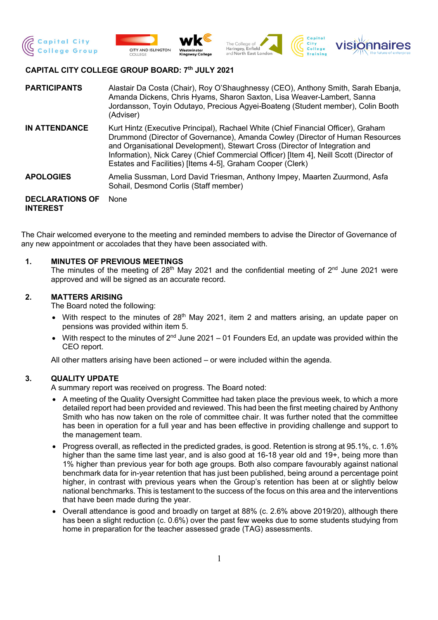







# **CAPITAL CITY COLLEGE GROUP BOARD: 7th JULY 2021**

**PARTICIPANTS** Alastair Da Costa (Chair), Roy O'Shaughnessy (CEO), Anthony Smith, Sarah Ebanja, Amanda Dickens, Chris Hyams, Sharon Saxton, Lisa Weaver-Lambert, Sanna Jordansson, Toyin Odutayo, Precious Agyei-Boateng (Student member), Colin Booth (Adviser)

**IN ATTENDANCE** Kurt Hintz (Executive Principal), Rachael White (Chief Financial Officer), Graham Drummond (Director of Governance), Amanda Cowley (Director of Human Resources and Organisational Development), Stewart Cross (Director of Integration and Information), Nick Carey (Chief Commercial Officer) [Item 4], Neill Scott (Director of Estates and Facilities) [Items 4-5], Graham Cooper (Clerk)

**APOLOGIES** Amelia Sussman, Lord David Triesman, Anthony Impey, Maarten Zuurmond, Asfa Sohail, Desmond Corlis (Staff member)

**DECLARATIONS OF INTEREST** None

The Chair welcomed everyone to the meeting and reminded members to advise the Director of Governance of any new appointment or accolades that they have been associated with.

## **1. MINUTES OF PREVIOUS MEETINGS**

The minutes of the meeting of  $28<sup>th</sup>$  May 2021 and the confidential meeting of  $2<sup>nd</sup>$  June 2021 were approved and will be signed as an accurate record.

## **2. MATTERS ARISING**

The Board noted the following:

- With respect to the minutes of  $28<sup>th</sup>$  May 2021, item 2 and matters arising, an update paper on pensions was provided within item 5.
- With respect to the minutes of  $2^{nd}$  June 2021 01 Founders Ed, an update was provided within the CEO report.

All other matters arising have been actioned – or were included within the agenda.

## **3. QUALITY UPDATE**

A summary report was received on progress. The Board noted:

- A meeting of the Quality Oversight Committee had taken place the previous week, to which a more detailed report had been provided and reviewed. This had been the first meeting chaired by Anthony Smith who has now taken on the role of committee chair. It was further noted that the committee has been in operation for a full year and has been effective in providing challenge and support to the management team.
- Progress overall, as reflected in the predicted grades, is good. Retention is strong at 95.1%, c. 1.6% higher than the same time last year, and is also good at 16-18 year old and 19+, being more than 1% higher than previous year for both age groups. Both also compare favourably against national benchmark data for in-year retention that has just been published, being around a percentage point higher, in contrast with previous years when the Group's retention has been at or slightly below national benchmarks. This is testament to the success of the focus on this area and the interventions that have been made during the year.
- Overall attendance is good and broadly on target at 88% (c. 2.6% above 2019/20), although there has been a slight reduction (c. 0.6%) over the past few weeks due to some students studying from home in preparation for the teacher assessed grade (TAG) assessments.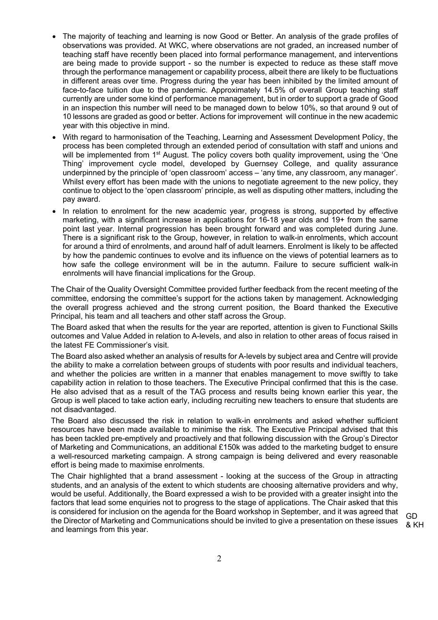- The majority of teaching and learning is now Good or Better. An analysis of the grade profiles of observations was provided. At WKC, where observations are not graded, an increased number of teaching staff have recently been placed into formal performance management, and interventions are being made to provide support - so the number is expected to reduce as these staff move through the performance management or capability process, albeit there are likely to be fluctuations in different areas over time. Progress during the year has been inhibited by the limited amount of face-to-face tuition due to the pandemic. Approximately 14.5% of overall Group teaching staff currently are under some kind of performance management, but in order to support a grade of Good in an inspection this number will need to be managed down to below 10%, so that around 9 out of 10 lessons are graded as good or better. Actions for improvement will continue in the new academic year with this objective in mind.
- With regard to harmonisation of the Teaching, Learning and Assessment Development Policy, the process has been completed through an extended period of consultation with staff and unions and will be implemented from 1<sup>st</sup> August. The policy covers both quality improvement, using the 'One Thing' improvement cycle model, developed by Guernsey College, and quality assurance underpinned by the principle of 'open classroom' access – 'any time, any classroom, any manager'. Whilst every effort has been made with the unions to negotiate agreement to the new policy, they continue to object to the 'open classroom' principle, as well as disputing other matters, including the pay award.
- In relation to enrolment for the new academic year, progress is strong, supported by effective marketing, with a significant increase in applications for 16-18 year olds and 19+ from the same point last year. Internal progression has been brought forward and was completed during June. There is a significant risk to the Group, however, in relation to walk-in enrolments, which account for around a third of enrolments, and around half of adult learners. Enrolment is likely to be affected by how the pandemic continues to evolve and its influence on the views of potential learners as to how safe the college environment will be in the autumn. Failure to secure sufficient walk-in enrolments will have financial implications for the Group.

The Chair of the Quality Oversight Committee provided further feedback from the recent meeting of the committee, endorsing the committee's support for the actions taken by management. Acknowledging the overall progress achieved and the strong current position, the Board thanked the Executive Principal, his team and all teachers and other staff across the Group.

The Board asked that when the results for the year are reported, attention is given to Functional Skills outcomes and Value Added in relation to A-levels, and also in relation to other areas of focus raised in the latest FE Commissioner's visit.

The Board also asked whether an analysis of results for A-levels by subject area and Centre will provide the ability to make a correlation between groups of students with poor results and individual teachers, and whether the policies are written in a manner that enables management to move swiftly to take capability action in relation to those teachers. The Executive Principal confirmed that this is the case. He also advised that as a result of the TAG process and results being known earlier this year, the Group is well placed to take action early, including recruiting new teachers to ensure that students are not disadvantaged.

The Board also discussed the risk in relation to walk-in enrolments and asked whether sufficient resources have been made available to minimise the risk. The Executive Principal advised that this has been tackled pre-emptively and proactively and that following discussion with the Group's Director of Marketing and Communications, an additional £150k was added to the marketing budget to ensure a well-resourced marketing campaign. A strong campaign is being delivered and every reasonable effort is being made to maximise enrolments.

The Chair highlighted that a brand assessment - looking at the success of the Group in attracting students, and an analysis of the extent to which students are choosing alternative providers and why, would be useful. Additionally, the Board expressed a wish to be provided with a greater insight into the factors that lead some enquiries not to progress to the stage of applications. The Chair asked that this is considered for inclusion on the agenda for the Board workshop in September, and it was agreed that the Director of Marketing and Communications should be invited to give a presentation on these issues and learnings from this year.

GD & KH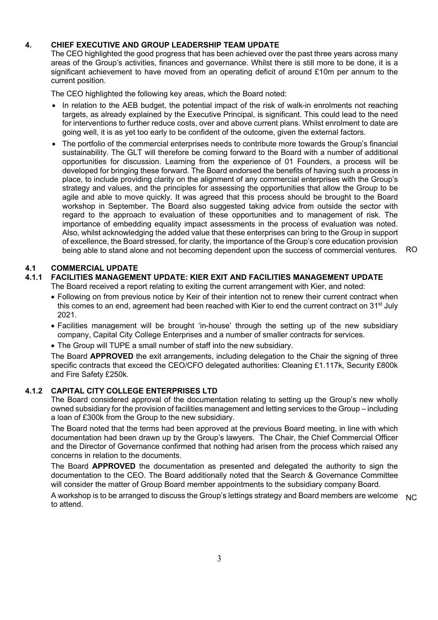# **4. CHIEF EXECUTIVE AND GROUP LEADERSHIP TEAM UPDATE**

The CEO highlighted the good progress that has been achieved over the past three years across many areas of the Group's activities, finances and governance. Whilst there is still more to be done, it is a significant achievement to have moved from an operating deficit of around £10m per annum to the current position.

The CEO highlighted the following key areas, which the Board noted:

- In relation to the AEB budget, the potential impact of the risk of walk-in enrolments not reaching targets, as already explained by the Executive Principal, is significant. This could lead to the need for interventions to further reduce costs, over and above current plans. Whilst enrolment to date are going well, it is as yet too early to be confident of the outcome, given the external factors.
- The portfolio of the commercial enterprises needs to contribute more towards the Group's financial sustainability. The GLT will therefore be coming forward to the Board with a number of additional opportunities for discussion. Learning from the experience of 01 Founders, a process will be developed for bringing these forward. The Board endorsed the benefits of having such a process in place, to include providing clarity on the alignment of any commercial enterprises with the Group's strategy and values, and the principles for assessing the opportunities that allow the Group to be agile and able to move quickly. It was agreed that this process should be brought to the Board workshop in September. The Board also suggested taking advice from outside the sector with regard to the approach to evaluation of these opportunities and to management of risk. The importance of embedding equality impact assessments in the process of evaluation was noted. Also, whilst acknowledging the added value that these enterprises can bring to the Group in support of excellence, the Board stressed, for clarity, the importance of the Group's core education provision being able to stand alone and not becoming dependent upon the success of commercial ventures. RO

# **4.1 COMMERCIAL UPDATE**

# **4.1.1 FACILITIES MANAGEMENT UPDATE: KIER EXIT AND FACILITIES MANAGEMENT UPDATE**

The Board received a report relating to exiting the current arrangement with Kier, and noted:

- Following on from previous notice by Keir of their intention not to renew their current contract when this comes to an end, agreement had been reached with Kier to end the current contract on 31<sup>st</sup> July 2021.
- Facilities management will be brought 'in-house' through the setting up of the new subsidiary company, Capital City College Enterprises and a number of smaller contracts for services.
- The Group will TUPE a small number of staff into the new subsidiary.

The Board **APPROVED** the exit arrangements, including delegation to the Chair the signing of three specific contracts that exceed the CEO/CFO delegated authorities: Cleaning £1.117k, Security £800k and Fire Safety £250k.

## **4.1.2 CAPITAL CITY COLLEGE ENTERPRISES LTD**

The Board considered approval of the documentation relating to setting up the Group's new wholly owned subsidiary for the provision of facilities management and letting services to the Group – including a loan of £300k from the Group to the new subsidiary.

The Board noted that the terms had been approved at the previous Board meeting, in line with which documentation had been drawn up by the Group's lawyers. The Chair, the Chief Commercial Officer and the Director of Governance confirmed that nothing had arisen from the process which raised any concerns in relation to the documents.

The Board **APPROVED** the documentation as presented and delegated the authority to sign the documentation to the CEO. The Board additionally noted that the Search & Governance Committee will consider the matter of Group Board member appointments to the subsidiary company Board.

A workshop is to be arranged to discuss the Group's lettings strategy and Board members are welcome to attend. NC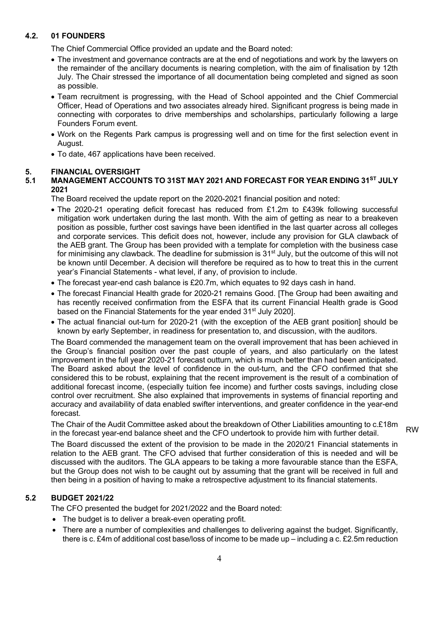# **4.2. 01 FOUNDERS**

The Chief Commercial Office provided an update and the Board noted:

- The investment and governance contracts are at the end of negotiations and work by the lawyers on the remainder of the ancillary documents is nearing completion, with the aim of finalisation by 12th July. The Chair stressed the importance of all documentation being completed and signed as soon as possible.
- Team recruitment is progressing, with the Head of School appointed and the Chief Commercial Officer, Head of Operations and two associates already hired. Significant progress is being made in connecting with corporates to drive memberships and scholarships, particularly following a large Founders Forum event.
- Work on the Regents Park campus is progressing well and on time for the first selection event in August.
- To date, 467 applications have been received.

# **5. FINANCIAL OVERSIGHT**

# **5.1 MANAGEMENT ACCOUNTS TO 31ST MAY 2021 AND FORECAST FOR YEAR ENDING 31ST JULY 2021**

The Board received the update report on the 2020-2021 financial position and noted:

- The 2020-21 operating deficit forecast has reduced from £1.2m to £439k following successful mitigation work undertaken during the last month. With the aim of getting as near to a breakeven position as possible, further cost savings have been identified in the last quarter across all colleges and corporate services. This deficit does not, however, include any provision for GLA clawback of the AEB grant. The Group has been provided with a template for completion with the business case for minimising any clawback. The deadline for submission is  $31<sup>st</sup>$  July, but the outcome of this will not be known until December. A decision will therefore be required as to how to treat this in the current year's Financial Statements - what level, if any, of provision to include.
- The forecast year-end cash balance is £20.7m, which equates to 92 days cash in hand.
- The forecast Financial Health grade for 2020-21 remains Good. [The Group had been awaiting and has recently received confirmation from the ESFA that its current Financial Health grade is Good based on the Financial Statements for the year ended 31<sup>st</sup> July 2020].
- The actual financial out-turn for 2020-21 (with the exception of the AEB grant position] should be known by early September, in readiness for presentation to, and discussion, with the auditors.

The Board commended the management team on the overall improvement that has been achieved in the Group's financial position over the past couple of years, and also particularly on the latest improvement in the full year 2020-21 forecast outturn, which is much better than had been anticipated. The Board asked about the level of confidence in the out-turn, and the CFO confirmed that she considered this to be robust, explaining that the recent improvement is the result of a combination of additional forecast income, (especially tuition fee income) and further costs savings, including close control over recruitment. She also explained that improvements in systems of financial reporting and accuracy and availability of data enabled swifter interventions, and greater confidence in the year-end forecast.

The Chair of the Audit Committee asked about the breakdown of Other Liabilities amounting to c.£18m in the forecast year-end balance sheet and the CFO undertook to provide him with further detail.

RW

The Board discussed the extent of the provision to be made in the 2020/21 Financial statements in relation to the AEB grant. The CFO advised that further consideration of this is needed and will be discussed with the auditors. The GLA appears to be taking a more favourable stance than the ESFA, but the Group does not wish to be caught out by assuming that the grant will be received in full and then being in a position of having to make a retrospective adjustment to its financial statements.

# **5.2 BUDGET 2021/22**

The CFO presented the budget for 2021/2022 and the Board noted:

- The budget is to deliver a break-even operating profit.
- There are a number of complexities and challenges to delivering against the budget. Significantly, there is c. £4m of additional cost base/loss of income to be made up – including a c. £2.5m reduction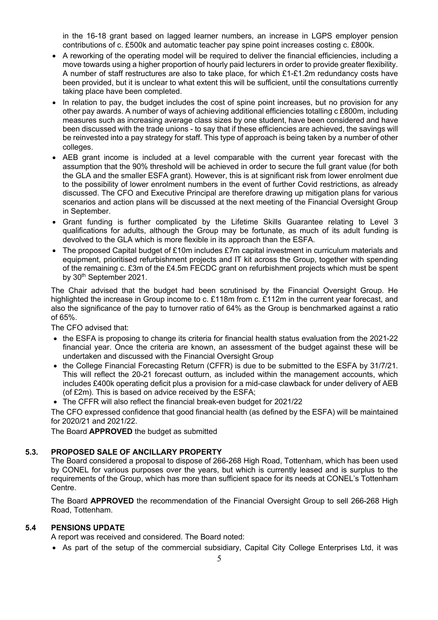in the 16-18 grant based on lagged learner numbers, an increase in LGPS employer pension contributions of c. £500k and automatic teacher pay spine point increases costing c. £800k.

- A reworking of the operating model will be required to deliver the financial efficiencies, including a move towards using a higher proportion of hourly paid lecturers in order to provide greater flexibility. A number of staff restructures are also to take place, for which £1-£1.2m redundancy costs have been provided, but it is unclear to what extent this will be sufficient, until the consultations currently taking place have been completed.
- In relation to pay, the budget includes the cost of spine point increases, but no provision for any other pay awards. A number of ways of achieving additional efficiencies totalling c £800m, including measures such as increasing average class sizes by one student, have been considered and have been discussed with the trade unions - to say that if these efficiencies are achieved, the savings will be reinvested into a pay strategy for staff. This type of approach is being taken by a number of other colleges.
- AEB grant income is included at a level comparable with the current year forecast with the assumption that the 90% threshold will be achieved in order to secure the full grant value (for both the GLA and the smaller ESFA grant). However, this is at significant risk from lower enrolment due to the possibility of lower enrolment numbers in the event of further Covid restrictions, as already discussed. The CFO and Executive Principal are therefore drawing up mitigation plans for various scenarios and action plans will be discussed at the next meeting of the Financial Oversight Group in September.
- Grant funding is further complicated by the Lifetime Skills Guarantee relating to Level 3 qualifications for adults, although the Group may be fortunate, as much of its adult funding is devolved to the GLA which is more flexible in its approach than the ESFA.
- The proposed Capital budget of £10m includes £7m capital investment in curriculum materials and equipment, prioritised refurbishment projects and IT kit across the Group, together with spending of the remaining c. £3m of the £4.5m FECDC grant on refurbishment projects which must be spent by 30<sup>th</sup> September 2021.

The Chair advised that the budget had been scrutinised by the Financial Oversight Group. He highlighted the increase in Group income to c. £118m from c. £112m in the current year forecast, and also the significance of the pay to turnover ratio of 64% as the Group is benchmarked against a ratio of 65%.

The CFO advised that:

- the ESFA is proposing to change its criteria for financial health status evaluation from the 2021-22 financial year. Once the criteria are known, an assessment of the budget against these will be undertaken and discussed with the Financial Oversight Group
- the College Financial Forecasting Return (CFFR) is due to be submitted to the ESFA by 31/7/21. This will reflect the 20-21 forecast outturn, as included within the management accounts, which includes £400k operating deficit plus a provision for a mid-case clawback for under delivery of AEB (of £2m). This is based on advice received by the ESFA;
- The CFFR will also reflect the financial break-even budget for 2021/22

The CFO expressed confidence that good financial health (as defined by the ESFA) will be maintained for 2020/21 and 2021/22.

The Board **APPROVED** the budget as submitted

#### **5.3. PROPOSED SALE OF ANCILLARY PROPERTY**

The Board considered a proposal to dispose of 266-268 High Road, Tottenham, which has been used by CONEL for various purposes over the years, but which is currently leased and is surplus to the requirements of the Group, which has more than sufficient space for its needs at CONEL's Tottenham Centre.

The Board **APPROVED** the recommendation of the Financial Oversight Group to sell 266-268 High Road, Tottenham.

#### **5.4 PENSIONS UPDATE**

A report was received and considered. The Board noted:

• As part of the setup of the commercial subsidiary, Capital City College Enterprises Ltd, it was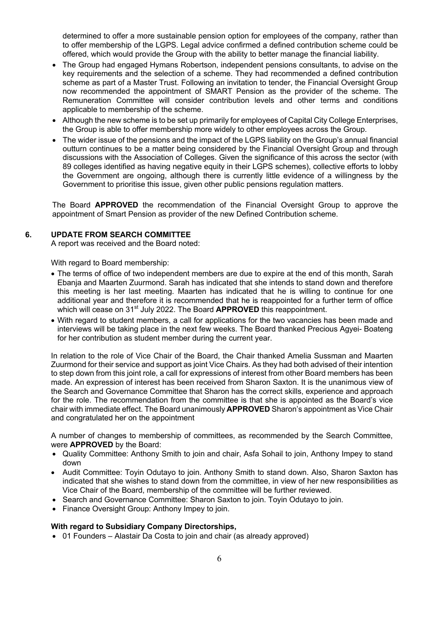determined to offer a more sustainable pension option for employees of the company, rather than to offer membership of the LGPS. Legal advice confirmed a defined contribution scheme could be offered, which would provide the Group with the ability to better manage the financial liability.

- The Group had engaged Hymans Robertson, independent pensions consultants, to advise on the key requirements and the selection of a scheme. They had recommended a defined contribution scheme as part of a Master Trust. Following an invitation to tender, the Financial Oversight Group now recommended the appointment of SMART Pension as the provider of the scheme. The Remuneration Committee will consider contribution levels and other terms and conditions applicable to membership of the scheme.
- Although the new scheme is to be set up primarily for employees of Capital City College Enterprises, the Group is able to offer membership more widely to other employees across the Group.
- The wider issue of the pensions and the impact of the LGPS liability on the Group's annual financial outturn continues to be a matter being considered by the Financial Oversight Group and through discussions with the Association of Colleges. Given the significance of this across the sector (with 89 colleges identified as having negative equity in their LGPS schemes), collective efforts to lobby the Government are ongoing, although there is currently little evidence of a willingness by the Government to prioritise this issue, given other public pensions regulation matters.

The Board **APPROVED** the recommendation of the Financial Oversight Group to approve the appointment of Smart Pension as provider of the new Defined Contribution scheme.

## **6. UPDATE FROM SEARCH COMMITTEE**

A report was received and the Board noted:

With regard to Board membership:

- The terms of office of two independent members are due to expire at the end of this month, Sarah Ebanja and Maarten Zuurmond. Sarah has indicated that she intends to stand down and therefore this meeting is her last meeting. Maarten has indicated that he is willing to continue for one additional year and therefore it is recommended that he is reappointed for a further term of office which will cease on 31st July 2022. The Board **APPROVED** this reappointment.
- With regard to student members, a call for applications for the two vacancies has been made and interviews will be taking place in the next few weeks. The Board thanked Precious Agyei- Boateng for her contribution as student member during the current year.

In relation to the role of Vice Chair of the Board, the Chair thanked Amelia Sussman and Maarten Zuurmond for their service and support as joint Vice Chairs. As they had both advised of their intention to step down from this joint role, a call for expressions of interest from other Board members has been made. An expression of interest has been received from Sharon Saxton. It is the unanimous view of the Search and Governance Committee that Sharon has the correct skills, experience and approach for the role. The recommendation from the committee is that she is appointed as the Board's vice chair with immediate effect. The Board unanimously **APPROVED** Sharon's appointment as Vice Chair and congratulated her on the appointment

A number of changes to membership of committees, as recommended by the Search Committee, were **APPROVED** by the Board:

- Quality Committee: Anthony Smith to join and chair, Asfa Sohail to join, Anthony Impey to stand down
- Audit Committee: Toyin Odutayo to join. Anthony Smith to stand down. Also, Sharon Saxton has indicated that she wishes to stand down from the committee, in view of her new responsibilities as Vice Chair of the Board, membership of the committee will be further reviewed.
- Search and Governance Committee: Sharon Saxton to join. Toyin Odutayo to join.
- Finance Oversight Group: Anthony Impey to join.

## **With regard to Subsidiary Company Directorships,**

• 01 Founders – Alastair Da Costa to join and chair (as already approved)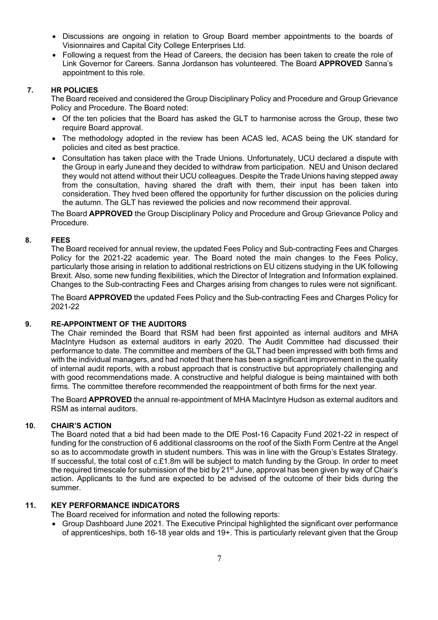- Discussions are ongoing in relation to Group Board member appointments to the boards of Visionnaires and Capital City College Enterprises Ltd.
- Following a request from the Head of Careers, the decision has been taken to create the role of Link Governor for Careers. Sanna Jordanson has volunteered. The Board **APPROVED** Sanna's appointment to this role.

## **7. HR POLICIES**

The Board received and considered the Group Disciplinary Policy and Procedure and Group Grievance Policy and Procedure. The Board noted:

- Of the ten policies that the Board has asked the GLT to harmonise across the Group, these two require Board approval.
- The methodology adopted in the review has been ACAS led, ACAS being the UK standard for policies and cited as best practice.
- Consultation has taken place with the Trade Unions. Unfortunately, UCU declared a dispute with the Group in early June and they decided to withdraw from participation. NEU and Unison declared they would not attend without their UCU colleagues. Despite the Trade Unions having stepped away from the consultation, having shared the draft with them, their input has been taken into consideration. They hved been offered the opportunity for further discussion on the policies during the autumn. The GLT has reviewed the policies and now recommend their approval.

The Board **APPROVED** the Group Disciplinary Policy and Procedure and Group Grievance Policy and Procedure.

#### **8. FEES**

The Board received for annual review, the updated Fees Policy and Sub-contracting Fees and Charges Policy for the 2021-22 academic year. The Board noted the main changes to the Fees Policy, particularly those arising in relation to additional restrictions on EU citizens studying in the UK following Brexit. Also, some new funding flexibilities, which the Director of Integration and Information explained. Changes to the Sub-contracting Fees and Charges arising from changes to rules were not significant.

The Board **APPROVED** the updated Fees Policy and the Sub-contracting Fees and Charges Policy for 2021-22

#### **9. RE-APPOINTMENT OF THE AUDITORS**

The Chair reminded the Board that RSM had been first appointed as internal auditors and MHA MacIntyre Hudson as external auditors in early 2020. The Audit Committee had discussed their performance to date. The committee and members of the GLT had been impressed with both firms and with the individual managers, and had noted that there has been a significant improvement in the quality of internal audit reports, with a robust approach that is constructive but appropriately challenging and with good recommendations made. A constructive and helpful dialogue is being maintained with both firms. The committee therefore recommended the reappointment of both firms for the next year.

The Board **APPROVED** the annual re-appointment of MHA MacIntyre Hudson as external auditors and RSM as internal auditors.

## **10. CHAIR'S ACTION**

The Board noted that a bid had been made to the DfE Post-16 Capacity Fund 2021-22 in respect of funding for the construction of 6 additional classrooms on the roof of the Sixth Form Centre at the Angel so as to accommodate growth in student numbers. This was in line with the Group's Estates Strategy. If successful, the total cost of c.£1.8m will be subject to match funding by the Group. In order to meet the required timescale for submission of the bid by 21<sup>st</sup> June, approval has been given by way of Chair's action. Applicants to the fund are expected to be advised of the outcome of their bids during the summer.

# **11. KEY PERFORMANCE INDICATORS**

The Board received for information and noted the following reports:

• Group Dashboard June 2021. The Executive Principal highlighted the significant over performance of apprenticeships, both 16-18 year olds and 19+. This is particularly relevant given that the Group